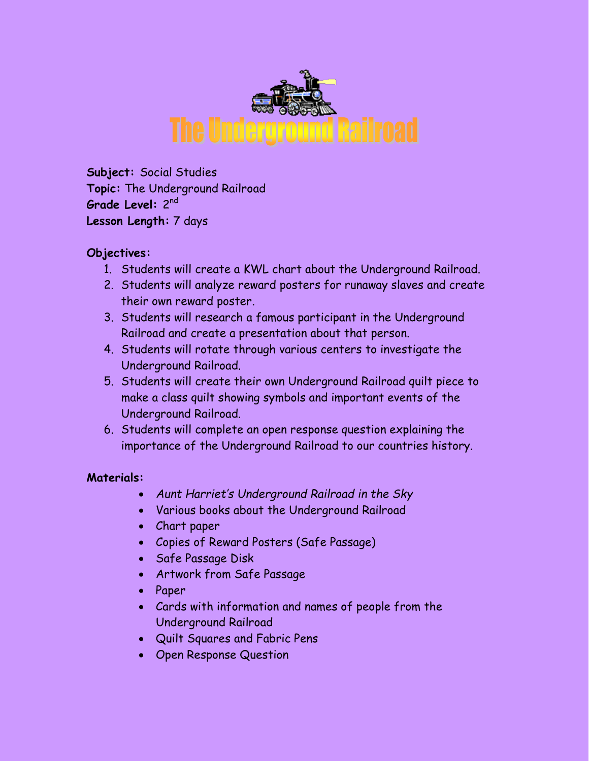

**Subject:** Social Studies **Topic:** The Underground Railroad **Grade Level:** 2<sup>nd</sup> **Lesson Length:** 7 days

### **Objectives:**

- 1. Students will create a KWL chart about the Underground Railroad.
- 2. Students will analyze reward posters for runaway slaves and create their own reward poster.
- 3. Students will research a famous participant in the Underground Railroad and create a presentation about that person.
- 4. Students will rotate through various centers to investigate the Underground Railroad.
- 5. Students will create their own Underground Railroad quilt piece to make a class quilt showing symbols and important events of the Underground Railroad.
- 6. Students will complete an open response question explaining the importance of the Underground Railroad to our countries history.

#### **Materials:**

- *Aunt Harriet's Underground Railroad in the Sky*
- Various books about the Underground Railroad
- Chart paper
- Copies of Reward Posters (Safe Passage)
- Safe Passage Disk
- Artwork from Safe Passage
- Paper
- Cards with information and names of people from the Underground Railroad
- Quilt Squares and Fabric Pens
- Open Response Question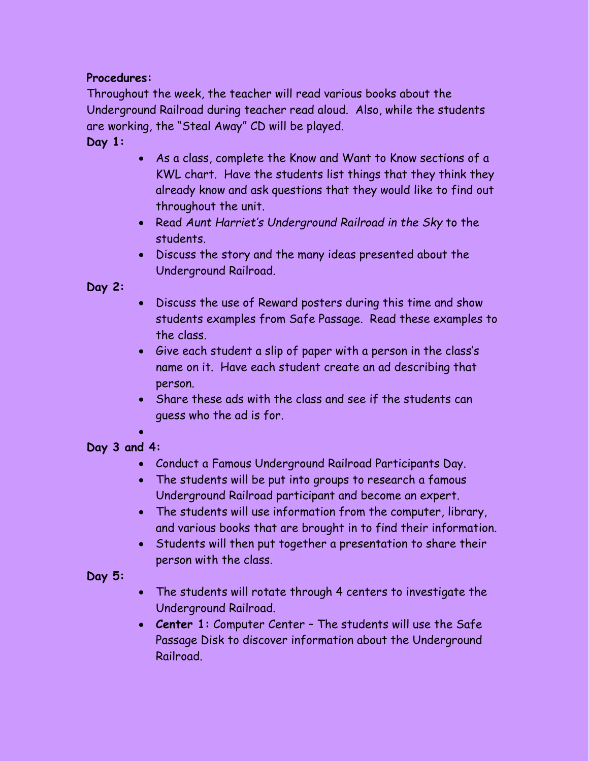### **Procedures:**

Throughout the week, the teacher will read various books about the Underground Railroad during teacher read aloud. Also, while the students are working, the "Steal Away" CD will be played.

### **Day 1:**

- As a class, complete the Know and Want to Know sections of a KWL chart. Have the students list things that they think they already know and ask questions that they would like to find out throughout the unit.
- Read *Aunt Harriet's Underground Railroad in the Sky* to the students.
- Discuss the story and the many ideas presented about the Underground Railroad.

## **Day 2:**

- Discuss the use of Reward posters during this time and show students examples from Safe Passage. Read these examples to the class.
- Give each student a slip of paper with a person in the class's name on it. Have each student create an ad describing that person.
- Share these ads with the class and see if the students can guess who the ad is for.

#### $\bullet$ **Day 3 and 4:**

- Conduct a Famous Underground Railroad Participants Day.
- The students will be put into groups to research a famous Underground Railroad participant and become an expert.
- The students will use information from the computer, library, and various books that are brought in to find their information.
- Students will then put together a presentation to share their person with the class.

### **Day 5:**

- The students will rotate through 4 centers to investigate the Underground Railroad.
- **Center 1:** Computer Center The students will use the Safe Passage Disk to discover information about the Underground Railroad.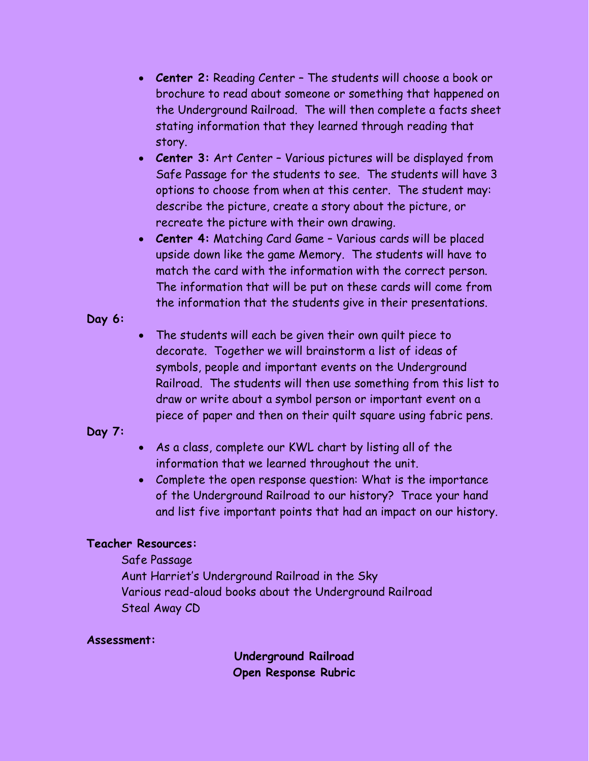- **Center 2:** Reading Center The students will choose a book or brochure to read about someone or something that happened on the Underground Railroad. The will then complete a facts sheet stating information that they learned through reading that story.
- **Center 3:** Art Center Various pictures will be displayed from Safe Passage for the students to see. The students will have 3 options to choose from when at this center. The student may: describe the picture, create a story about the picture, or recreate the picture with their own drawing.
- **Center 4:** Matching Card Game Various cards will be placed upside down like the game Memory. The students will have to match the card with the information with the correct person. The information that will be put on these cards will come from the information that the students give in their presentations.
- **Day 6:**
- The students will each be given their own quilt piece to decorate. Together we will brainstorm a list of ideas of symbols, people and important events on the Underground Railroad. The students will then use something from this list to draw or write about a symbol person or important event on a piece of paper and then on their quilt square using fabric pens.

# **Day 7:**

- As a class, complete our KWL chart by listing all of the information that we learned throughout the unit.
- Complete the open response question: What is the importance of the Underground Railroad to our history? Trace your hand and list five important points that had an impact on our history.

### **Teacher Resources:**

Safe Passage Aunt Harriet's Underground Railroad in the Sky Various read-aloud books about the Underground Railroad Steal Away CD

### **Assessment:**

**Underground Railroad Open Response Rubric**